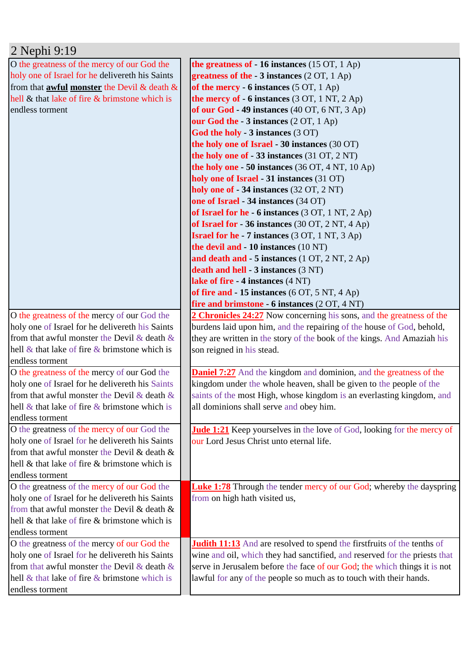| 2 Nephi 9:19                                                                                          |                                                                                 |
|-------------------------------------------------------------------------------------------------------|---------------------------------------------------------------------------------|
| O the greatness of the mercy of our God the                                                           | the greatness of $-16$ instances (15 OT, 1 Ap)                                  |
| holy one of Israel for he delivereth his Saints                                                       | greatness of the $-3$ instances (2 OT, 1 Ap)                                    |
| from that <b>awful monster</b> the Devil & death &                                                    | of the mercy - 6 instances $(5 OT, 1 Ap)$                                       |
| hell & that lake of fire & brimstone which is                                                         | the mercy of $-6$ instances (3 OT, 1 NT, 2 Ap)                                  |
| endless torment                                                                                       | of our God - 49 instances (40 OT, 6 NT, 3 Ap)                                   |
|                                                                                                       | our God the - 3 instances (2 OT, 1 Ap)                                          |
|                                                                                                       | God the holy - 3 instances (3 OT)                                               |
|                                                                                                       | the holy one of Israel - 30 instances (30 OT)                                   |
|                                                                                                       | the holy one of $-33$ instances (31 OT, 2 NT)                                   |
|                                                                                                       | the holy one $-50$ instances (36 OT, 4 NT, 10 Ap)                               |
|                                                                                                       | holy one of Israel - 31 instances (31 OT)                                       |
|                                                                                                       | holy one of - 34 instances (32 OT, 2 NT)                                        |
|                                                                                                       | one of Israel - 34 instances (34 OT)                                            |
|                                                                                                       | of Israel for he - 6 instances $(3 OT, 1 NT, 2 Ap)$                             |
|                                                                                                       | of Israel for $-36$ instances (30 OT, 2 NT, 4 Ap)                               |
|                                                                                                       | <b>Israel for he - 7 instances</b> (3 OT, 1 NT, 3 Ap)                           |
|                                                                                                       | the devil and - 10 instances (10 NT)                                            |
|                                                                                                       | and death and $-5$ instances (1 OT, 2 NT, 2 Ap)                                 |
|                                                                                                       | death and hell - 3 instances (3 NT)                                             |
|                                                                                                       | lake of fire - 4 instances (4 NT)                                               |
|                                                                                                       | of fire and $-15$ instances (6 OT, 5 NT, 4 Ap)                                  |
|                                                                                                       | fire and brimstone - 6 instances (2 OT, 4 NT)                                   |
| O the greatness of the mercy of our God the                                                           | 2 Chronicles 24:27 Now concerning his sons, and the greatness of the            |
| holy one of Israel for he delivereth his Saints                                                       | burdens laid upon him, and the repairing of the house of God, behold,           |
| from that awful monster the Devil & death $\&$                                                        | they are written in the story of the book of the kings. And Amaziah his         |
| hell $\&$ that lake of fire $\&$ brimstone which is                                                   | son reigned in his stead.                                                       |
| endless torment                                                                                       |                                                                                 |
| O the greatness of the mercy of our God the                                                           | <b>Daniel 7:27</b> And the kingdom and dominion, and the greatness of the       |
| holy one of Israel for he delivereth his Saints                                                       | kingdom under the whole heaven, shall be given to the people of the             |
| from that awful monster the Devil & death $\&$<br>hell $\&$ that lake of fire $\&$ brimstone which is | saints of the most High, whose kingdom is an everlasting kingdom, and           |
| endless torment                                                                                       | all dominions shall serve and obey him.                                         |
| O the greatness of the mercy of our God the                                                           | <b>Jude 1:21</b> Keep yourselves in the love of God, looking for the mercy of   |
| holy one of Israel for he delivereth his Saints                                                       | our Lord Jesus Christ unto eternal life.                                        |
| from that awful monster the Devil & death &                                                           |                                                                                 |
| hell & that lake of fire & brimstone which is                                                         |                                                                                 |
| endless torment                                                                                       |                                                                                 |
| O the greatness of the mercy of our God the                                                           | <b>Luke 1:78</b> Through the tender mercy of our God; whereby the dayspring     |
| holy one of Israel for he delivereth his Saints                                                       | from on high hath visited us,                                                   |
| from that awful monster the Devil & death &                                                           |                                                                                 |
| hell & that lake of fire & brimstone which is                                                         |                                                                                 |
| endless torment                                                                                       |                                                                                 |
| O the greatness of the mercy of our God the                                                           | <b>Judith 11:13</b> And are resolved to spend the first fruits of the tenths of |
| holy one of Israel for he delivereth his Saints                                                       | wine and oil, which they had sanctified, and reserved for the priests that      |
| from that awful monster the Devil & death $\&$                                                        | serve in Jerusalem before the face of our God; the which things it is not       |
| hell $\&$ that lake of fire $\&$ brimstone which is                                                   | lawful for any of the people so much as to touch with their hands.              |
| endless torment                                                                                       |                                                                                 |